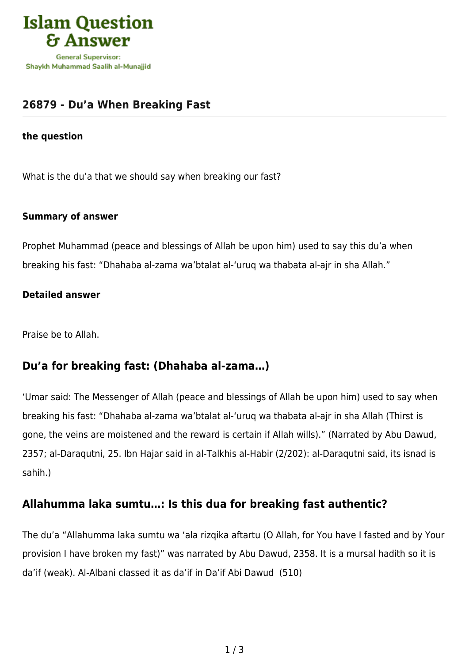

# **[26879 - Du'a When Breaking Fast](https://islamqa.com/en/answers/26879/dua-when-breaking-fast)**

#### **the question**

What is the du'a that we should say when breaking our fast?

### **Summary of answer**

Prophet Muhammad (peace and blessings of Allah be upon him) used to say this du'a when breaking his fast: "Dhahaba al-zama wa'btalat al-'uruq wa thabata al-ajr in sha Allah."

### **Detailed answer**

Praise be to Allah.

### **Du'a for breaking fast: (Dhahaba al-zama…)**

'Umar said: The Messenger of Allah (peace and blessings of Allah be upon him) used to say when breaking his fast: "Dhahaba al-zama wa'btalat al-'uruq wa thabata al-ajr in sha Allah (Thirst is gone, the veins are moistened and the reward is certain if Allah wills)." (Narrated by Abu Dawud, 2357; al-Daraqutni, 25. Ibn Hajar said in al-Talkhis al-Habir (2/202): al-Daraqutni said, its isnad is sahih.)

### **Allahumma laka sumtu…: Is this dua for breaking fast authentic?**

The du'a "Allahumma laka sumtu wa 'ala rizqika aftartu (O Allah, for You have I fasted and by Your provision I have broken my fast)" was narrated by Abu Dawud, 2358. It is a mursal hadith so it is da'if (weak). Al-Albani classed it as da'if in Da'if Abi Dawud (510)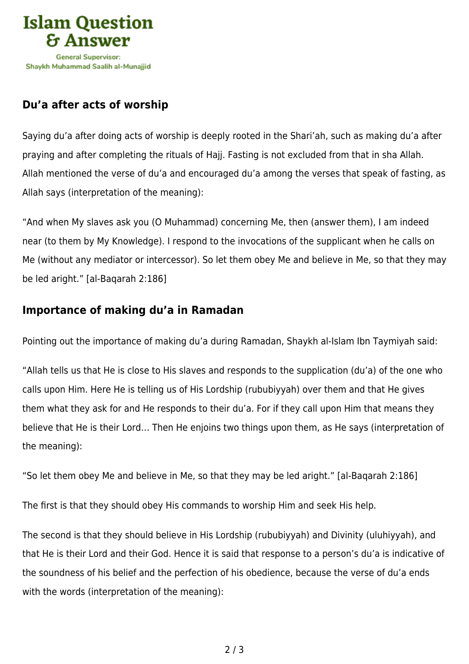

# **Du'a after acts of worship**

Saying du'a after doing acts of worship is deeply rooted in the Shari'ah, such as making du'a after praying and after completing the rituals of Hajj. Fasting is not excluded from that in sha Allah. Allah mentioned the verse of du'a and encouraged du'a among the verses that speak of fasting, as Allah says (interpretation of the meaning):

"And when My slaves ask you (O Muhammad) concerning Me, then (answer them), I am indeed near (to them by My Knowledge). I respond to the invocations of the supplicant when he calls on Me (without any mediator or intercessor). So let them obey Me and believe in Me, so that they may be led aright." [al-Baqarah 2:186]

# **Importance of making du'a in Ramadan**

Pointing out the importance of making du'a during Ramadan, Shaykh al-Islam Ibn Taymiyah said:

"Allah tells us that He is close to His slaves and responds to the supplication (du'a) of the one who calls upon Him. Here He is telling us of His Lordship (rububiyyah) over them and that He gives them what they ask for and He responds to their du'a. For if they call upon Him that means they believe that He is their Lord… Then He enjoins two things upon them, as He says (interpretation of the meaning):

"So let them obey Me and believe in Me, so that they may be led aright." [al-Baqarah 2:186]

The first is that they should obey His commands to worship Him and seek His help.

The second is that they should believe in His Lordship (rububiyyah) and Divinity (uluhiyyah), and that He is their Lord and their God. Hence it is said that response to a person's du'a is indicative of the soundness of his belief and the perfection of his obedience, because the verse of du'a ends with the words (interpretation of the meaning):